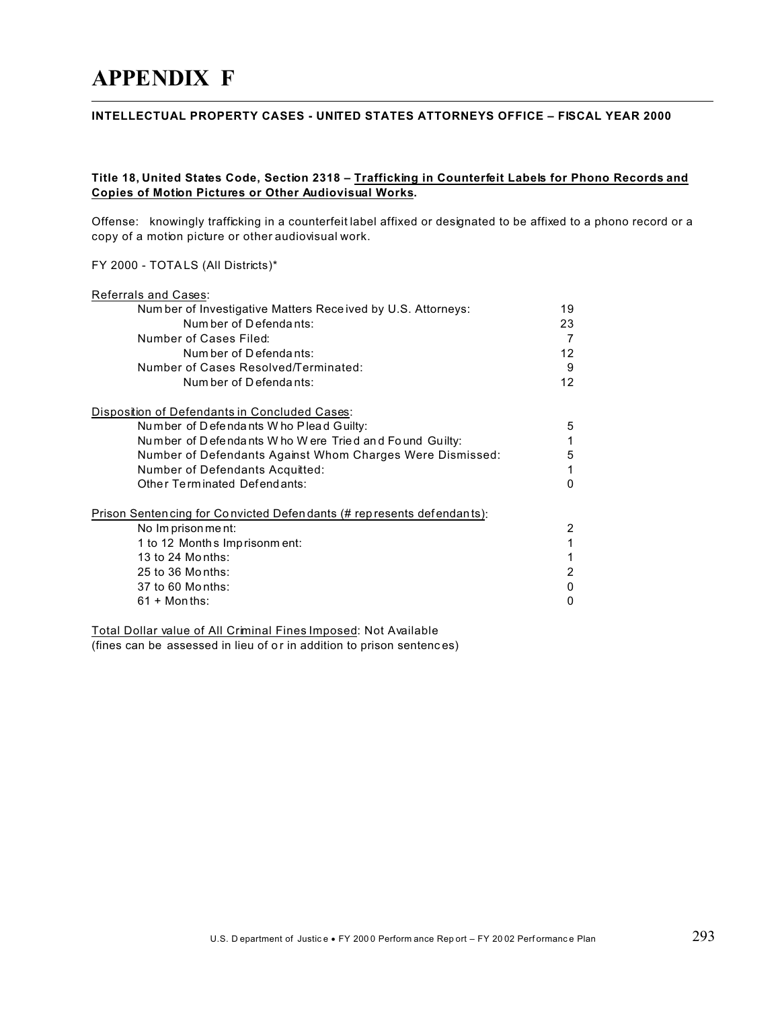# **APPENDIX F**

#### INTELLECTUAL PROPERTY CASES - UNITED STATES ATTORNEYS OFFICE - FISCAL YEAR 2000

### Title 18, United States Code, Section 2318 - Trafficking in Counterfeit Labels for Phono Records and **Copies of Motion Pictures or Other Audiovisual Works.**

Offense: knowingly trafficking in a counterfeit label affixed or designated to be affixed to a phono record or a copy of a motion picture or other audiovisual work.

#### FY 2000 - TOTALS (All Districts)\*

| Referrals and Cases:                                                  |              |
|-----------------------------------------------------------------------|--------------|
| Number of Investigative Matters Received by U.S. Attorneys:           | 19           |
| Num ber of Defendants:                                                | 23           |
| Number of Cases Filed:                                                | 7            |
| Num ber of Defendants:                                                | 12           |
| Number of Cases Resolved/Terminated:                                  | 9            |
| Num ber of Defendants:                                                | 12           |
| Disposition of Defendants in Concluded Cases:                         |              |
| Number of Defendants Who Plead Guilty:                                | 5            |
| Number of Defendants Who Were Tried and Found Guilty:                 |              |
| Number of Defendants Against Whom Charges Were Dismissed:             | 5            |
| Number of Defendants Acquitted:                                       |              |
| Other Terminated Defendants:                                          | <sup>0</sup> |
| Prison Sentencing for Convicted Defendants (# represents defendants): |              |
| No Imprisonment:                                                      | 2            |
| 1 to 12 Months Imprisonm ent:                                         |              |
| 13 to 24 Months:                                                      |              |
| 25 to 36 Months:                                                      | 2            |
| 37 to 60 Months:                                                      | 0            |
| $61 + \text{Months:}$                                                 | 0            |

Total Dollar value of All Criminal Fines Imposed: Not Available (fines can be assessed in lieu of or in addition to prison sentences)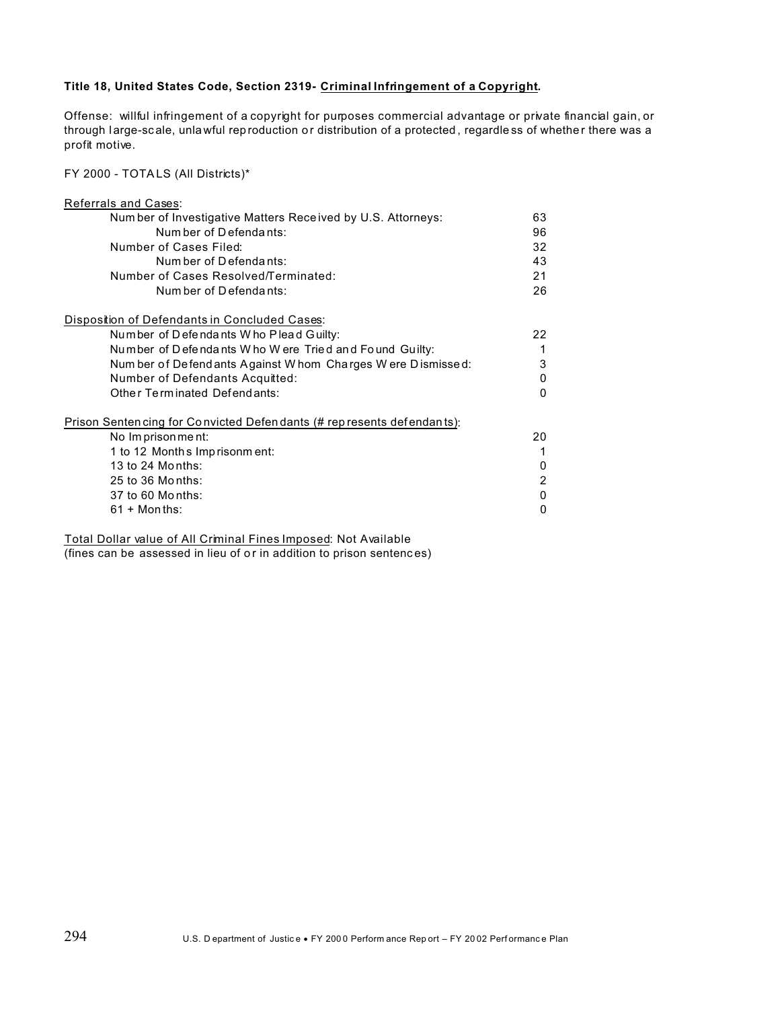#### Title 18, United States Code, Section 2319- Criminal Infringement of a Copyright.

Offense: willful infringement of a copyright for purposes commercial advantage or private financial gain, or through large-scale, unlawful reproduction or distribution of a protected, regardless of whether there was a profit motive.

FY 2000 - TOTALS (All Districts)\*

| Referrals and Cases:                                                  |              |
|-----------------------------------------------------------------------|--------------|
| Number of Investigative Matters Received by U.S. Attorneys:           | 63           |
| Num ber of Defendants:                                                | 96           |
| Number of Cases Filed:                                                | 32           |
| Num ber of Defendants:                                                | 43           |
| Number of Cases Resolved/Terminated:                                  | 21           |
| Num ber of Defendants:                                                | 26           |
| Disposition of Defendants in Concluded Cases:                         |              |
| Number of Defendants Who Plead Guilty:                                | 22           |
| Number of Defendants Who Were Tried and Found Guilty:                 | 1            |
| Num ber of Defend ants Against W hom Charges W ere Dismissed:         | 3            |
| Number of Defendants Acquitted:                                       | 0            |
| Other Terminated Defendants:                                          | <sup>0</sup> |
| Prison Sentencing for Convicted Defendants (# represents defendants): |              |
| No Imprisonment:                                                      | 20           |
| 1 to 12 Months Imprisonment:                                          |              |
| 13 to 24 Months:                                                      | 0            |
| 25 to 36 Months:                                                      | 2            |
| 37 to 60 Months:                                                      | $\mathbf{0}$ |
| $61 +$ Months:                                                        | Ω            |

Total Dollar value of All Criminal Fines Imposed: Not Available

(fines can be assessed in lieu of or in addition to prison sentences)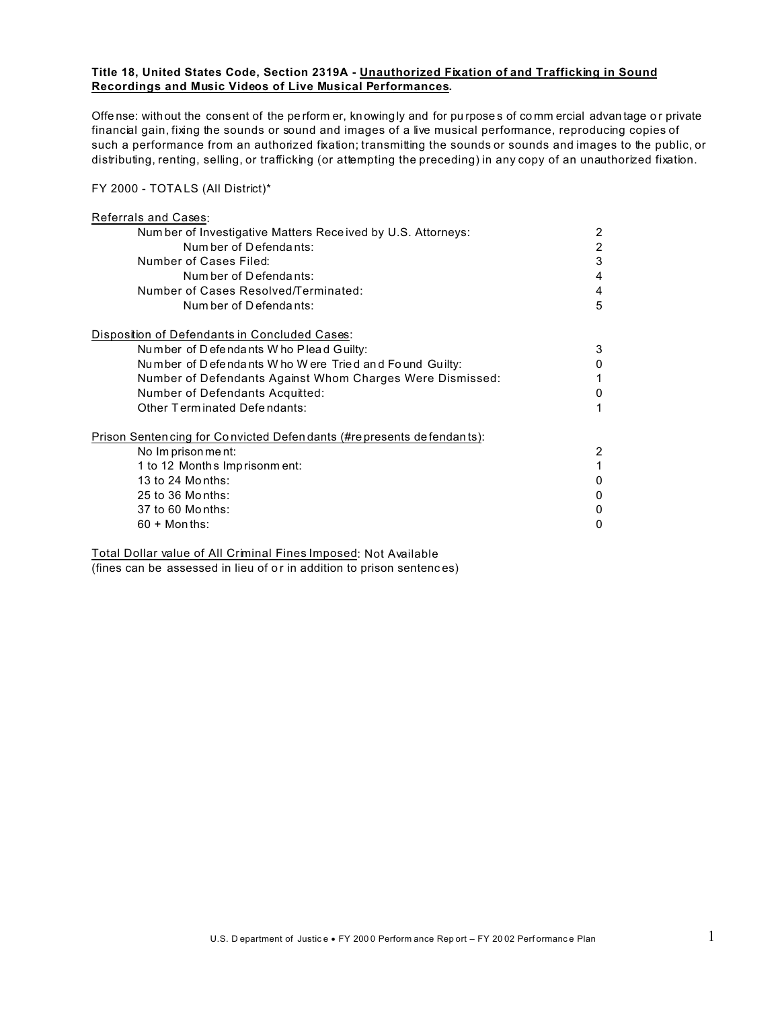#### Title 18, United States Code, Section 2319A - Unauthorized Fixation of and Trafficking in Sound Recordings and Music Videos of Live Musical Performances.

Offense: without the consent of the perform er, knowingly and for purposes of commercial advantage or private financial gain, fixing the sounds or sound and images of a live musical performance, reproducing copies of such a performance from an authorized fixation; transmitting the sounds or sounds and images to the public, or distributing, renting, selling, or trafficking (or attempting the preceding) in any copy of an unauthorized fixation.

#### FY 2000 - TOTALS (All District)\*

| Referrals and Cases:                                                   |   |
|------------------------------------------------------------------------|---|
| Number of Investigative Matters Received by U.S. Attorneys:            | 2 |
| Num ber of Defendants:                                                 | 2 |
| Number of Cases Filed:                                                 | 3 |
| Num ber of Defendants:                                                 | 4 |
| Number of Cases Resolved/Terminated:                                   | 4 |
| Num ber of Defendants:                                                 | 5 |
| Disposition of Defendants in Concluded Cases:                          |   |
| Number of Defendants Who Plead Guilty:                                 | 3 |
| Number of Defendants Who Were Tried and Found Guilty:                  | 0 |
| Number of Defendants Against Whom Charges Were Dismissed:              | 1 |
| Number of Defendants Acquitted:                                        | 0 |
| Other Terminated Defendants:                                           | 1 |
| Prison Senten cing for Convicted Defen dants (#represents defendants): |   |
| No Imprisonment:                                                       | 2 |
| 1 to 12 Months Imprisonment:                                           | 1 |
| 13 to 24 Months:                                                       | 0 |
| 25 to 36 Months:                                                       | 0 |
| 37 to 60 Months:                                                       | 0 |
| $60 + \text{Months}$ :                                                 | 0 |
|                                                                        |   |

Total Dollar value of All Criminal Fines Imposed: Not Available (fines can be assessed in lieu of or in addition to prison sentences)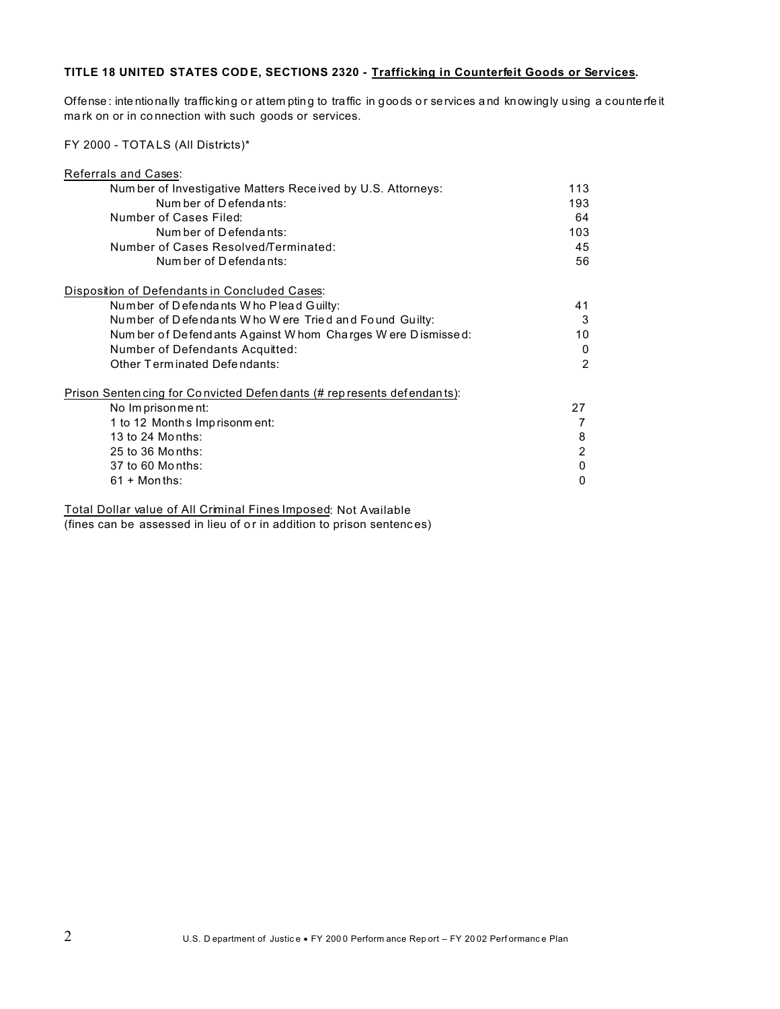## TITLE 18 UNITED STATES CODE, SECTIONS 2320 - Trafficking in Counterfeit Goods or Services.

Offense: intentionally trafficking or attem pting to traffic in goods or services and knowingly using a counterfeit mark on or in connection with such goods or services.

FY 2000 - TOTALS (All Districts)\*

| <b>Referrals and Cases:</b>                                            |                |
|------------------------------------------------------------------------|----------------|
| Number of Investigative Matters Received by U.S. Attorneys:            | 113            |
| Num ber of Defendants:                                                 | 193            |
| Number of Cases Filed:                                                 | 64             |
| Num ber of Defendants:                                                 | 103            |
| Number of Cases Resolved/Terminated:                                   | 45             |
| Num ber of Defendants:                                                 | 56             |
| Disposition of Defendants in Concluded Cases:                          |                |
| Number of Defendants Who Plead Guilty:                                 | 41             |
| Number of Defendants Who Were Tried and Found Guilty:                  | 3              |
| Num ber of Defend ants Against W hom Charges W ere Dismissed:          | 10             |
| Number of Defendants Acquitted:                                        | 0              |
| Other Terminated Defendants:                                           | $\mathfrak{p}$ |
| Prison Senten cing for Convicted Defendants (# represents defendants): |                |
| No Imprisonment:                                                       | 27             |
| 1 to 12 Months Imprisonm ent:                                          |                |
| 13 to 24 Months:                                                       | 8              |
| 25 to 36 Months:                                                       | 2              |
| 37 to 60 Months:                                                       | 0              |
| $61 +$ Months:                                                         | O              |
|                                                                        |                |

Total Dollar value of All Criminal Fines Imposed: Not Available (fines can be assessed in lieu of or in addition to prison sentences)